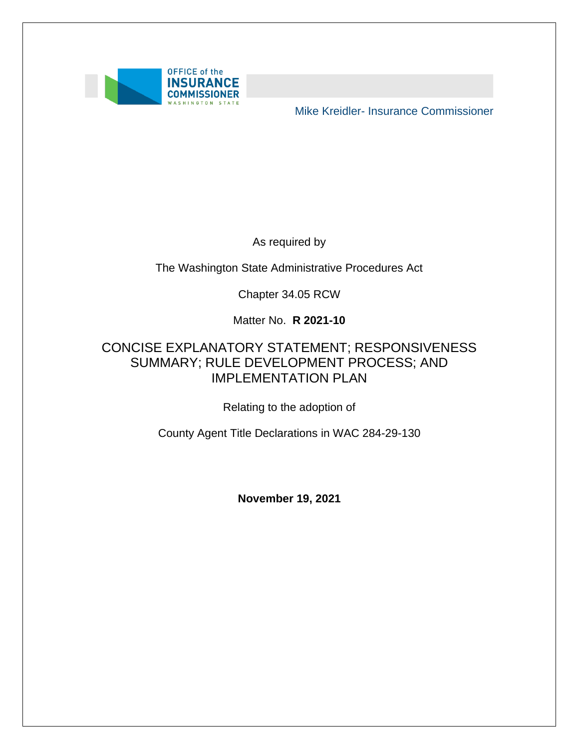

Mike Kreidler- Insurance Commissioner

As required by

The Washington State Administrative Procedures Act

Chapter 34.05 RCW

Matter No. **R 2021-10** 

### SUMMARY; RULE DEVELOPMENT PROCESS; AND CONCISE EXPLANATORY STATEMENT; RESPONSIVENESS IMPLEMENTATION PLAN

Relating to the adoption of

County Agent Title Declarations in WAC 284-29-130

**November 19, 2021**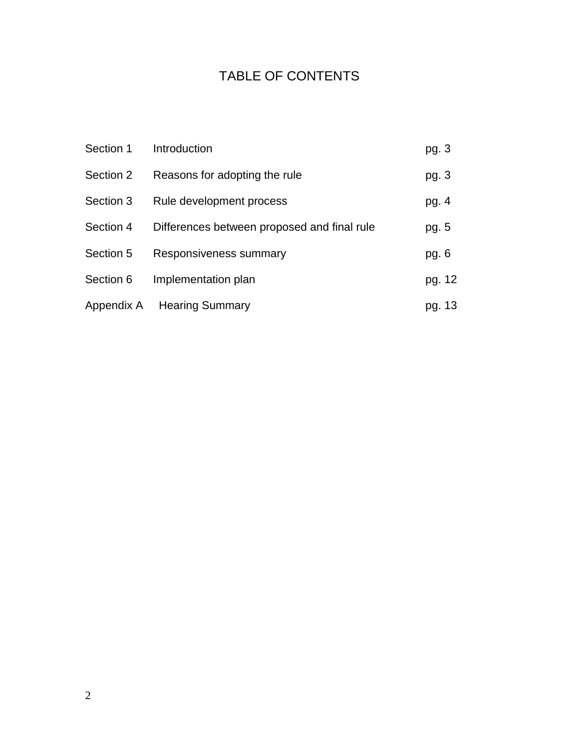### TABLE OF CONTENTS

| Section 1  | Introduction                                | pg. 3  |
|------------|---------------------------------------------|--------|
| Section 2  | Reasons for adopting the rule               | pg. 3  |
| Section 3  | Rule development process                    | pg. 4  |
| Section 4  | Differences between proposed and final rule | pg. 5  |
| Section 5  | Responsiveness summary                      | pg. 6  |
| Section 6  | Implementation plan                         | pg. 12 |
| Appendix A | <b>Hearing Summary</b>                      | pg. 13 |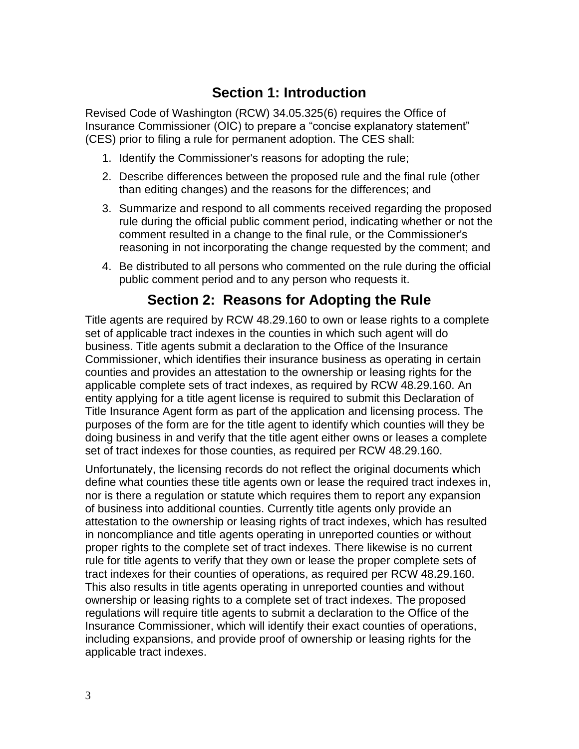# **Section 1: Introduction**

Revised Code of Washington (RCW) 34.05.325(6) requires the Office of Insurance Commissioner (OIC) to prepare a "concise explanatory statement" (CES) prior to filing a rule for permanent adoption. The CES shall:

- 1. Identify the Commissioner's reasons for adopting the rule;
- 2. Describe differences between the proposed rule and the final rule (other than editing changes) and the reasons for the differences; and
- 3. Summarize and respond to all comments received regarding the proposed rule during the official public comment period, indicating whether or not the comment resulted in a change to the final rule, or the Commissioner's reasoning in not incorporating the change requested by the comment; and
- 4. Be distributed to all persons who commented on the rule during the official public comment period and to any person who requests it.

# **Section 2: Reasons for Adopting the Rule**

 business. Title agents submit a declaration to the Office of the Insurance doing business in and verify that the title agent either owns or leases a complete Title agents are required by RCW 48.29.160 to own or lease rights to a complete set of applicable tract indexes in the counties in which such agent will do Commissioner, which identifies their insurance business as operating in certain counties and provides an attestation to the ownership or leasing rights for the applicable complete sets of tract indexes, as required by RCW 48.29.160. An entity applying for a title agent license is required to submit this Declaration of Title Insurance Agent form as part of the application and licensing process. The purposes of the form are for the title agent to identify which counties will they be set of tract indexes for those counties, as required per RCW 48.29.160.

 ownership or leasing rights to a complete set of tract indexes. The proposed Unfortunately, the licensing records do not reflect the original documents which define what counties these title agents own or lease the required tract indexes in, nor is there a regulation or statute which requires them to report any expansion of business into additional counties. Currently title agents only provide an attestation to the ownership or leasing rights of tract indexes, which has resulted in noncompliance and title agents operating in unreported counties or without proper rights to the complete set of tract indexes. There likewise is no current rule for title agents to verify that they own or lease the proper complete sets of tract indexes for their counties of operations, as required per RCW 48.29.160. This also results in title agents operating in unreported counties and without regulations will require title agents to submit a declaration to the Office of the Insurance Commissioner, which will identify their exact counties of operations, including expansions, and provide proof of ownership or leasing rights for the applicable tract indexes.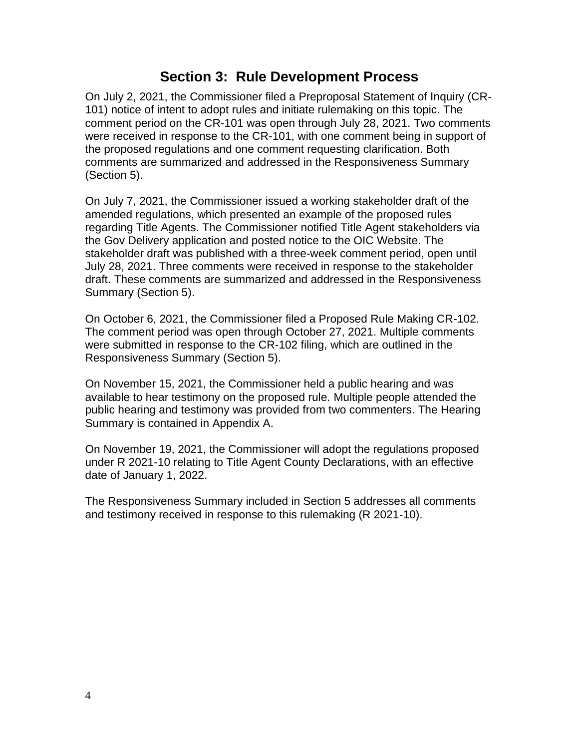### **Section 3: Rule Development Process**

 the proposed regulations and one comment requesting clarification. Both On July 2, 2021, the Commissioner filed a Preproposal Statement of Inquiry (CR-101) notice of intent to adopt rules and initiate rulemaking on this topic. The comment period on the CR-101 was open through July 28, 2021. Two comments were received in response to the CR-101, with one comment being in support of comments are summarized and addressed in the Responsiveness Summary (Section 5).

 stakeholder draft was published with a three-week comment period, open until On July 7, 2021, the Commissioner issued a working stakeholder draft of the amended regulations, which presented an example of the proposed rules regarding Title Agents. The Commissioner notified Title Agent stakeholders via the Gov Delivery application and posted notice to the OIC Website. The July 28, 2021. Three comments were received in response to the stakeholder draft. These comments are summarized and addressed in the Responsiveness Summary (Section 5).

 The comment period was open through October 27, 2021. Multiple comments On October 6, 2021, the Commissioner filed a Proposed Rule Making CR-102. were submitted in response to the CR-102 filing, which are outlined in the Responsiveness Summary (Section 5).

 available to hear testimony on the proposed rule. Multiple people attended the On November 15, 2021, the Commissioner held a public hearing and was public hearing and testimony was provided from two commenters. The Hearing Summary is contained in Appendix A.

On November 19, 2021, the Commissioner will adopt the regulations proposed under R 2021-10 relating to Title Agent County Declarations, with an effective date of January 1, 2022.

 The Responsiveness Summary included in Section 5 addresses all comments and testimony received in response to this rulemaking (R 2021-10).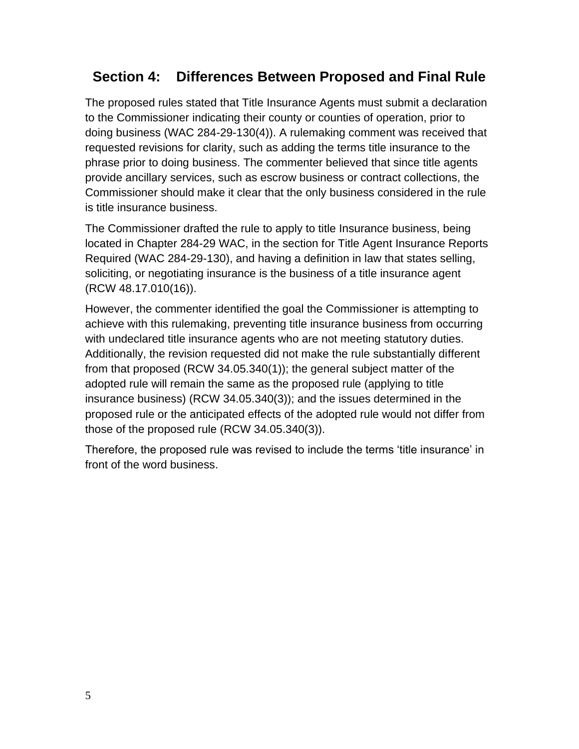# **Section 4: Differences Between Proposed and Final Rule**

 The proposed rules stated that Title Insurance Agents must submit a declaration requested revisions for clarity, such as adding the terms title insurance to the phrase prior to doing business. The commenter believed that since title agents to the Commissioner indicating their county or counties of operation, prior to doing business (WAC 284-29-130(4)). A rulemaking comment was received that provide ancillary services, such as escrow business or contract collections, the Commissioner should make it clear that the only business considered in the rule is title insurance business.

The Commissioner drafted the rule to apply to title Insurance business, being located in Chapter 284-29 WAC, in the section for Title Agent Insurance Reports Required (WAC 284-29-130), and having a definition in law that states selling, soliciting, or negotiating insurance is the business of a title insurance agent (RCW 48.17.010(16)).

 However, the commenter identified the goal the Commissioner is attempting to adopted rule will remain the same as the proposed rule (applying to title achieve with this rulemaking, preventing title insurance business from occurring with undeclared title insurance agents who are not meeting statutory duties. Additionally, the revision requested did not make the rule substantially different from that proposed (RCW 34.05.340(1)); the general subject matter of the insurance business) (RCW 34.05.340(3)); and the issues determined in the proposed rule or the anticipated effects of the adopted rule would not differ from those of the proposed rule (RCW 34.05.340(3)).

Therefore, the proposed rule was revised to include the terms 'title insurance' in front of the word business.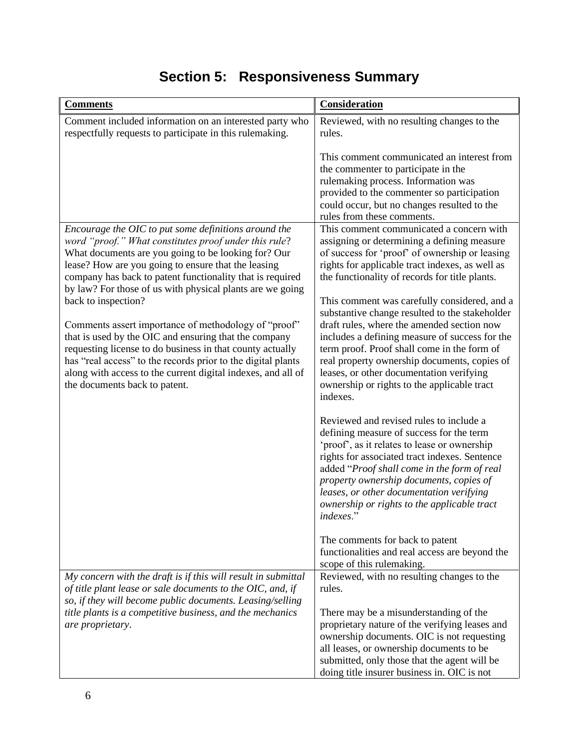| <b>Comments</b>                                                                                                                                                                                                                                                                                                                                                    | Consideration                                                                                                                                                                                                                                                                                                                                                                                        |
|--------------------------------------------------------------------------------------------------------------------------------------------------------------------------------------------------------------------------------------------------------------------------------------------------------------------------------------------------------------------|------------------------------------------------------------------------------------------------------------------------------------------------------------------------------------------------------------------------------------------------------------------------------------------------------------------------------------------------------------------------------------------------------|
| Comment included information on an interested party who<br>respectfully requests to participate in this rulemaking.                                                                                                                                                                                                                                                | Reviewed, with no resulting changes to the<br>rules.                                                                                                                                                                                                                                                                                                                                                 |
|                                                                                                                                                                                                                                                                                                                                                                    | This comment communicated an interest from<br>the commenter to participate in the<br>rulemaking process. Information was<br>provided to the commenter so participation<br>could occur, but no changes resulted to the<br>rules from these comments.                                                                                                                                                  |
| Encourage the OIC to put some definitions around the<br>word "proof." What constitutes proof under this rule?<br>What documents are you going to be looking for? Our<br>lease? How are you going to ensure that the leasing<br>company has back to patent functionality that is required<br>by law? For those of us with physical plants are we going              | This comment communicated a concern with<br>assigning or determining a defining measure<br>of success for 'proof' of ownership or leasing<br>rights for applicable tract indexes, as well as<br>the functionality of records for title plants.                                                                                                                                                       |
| back to inspection?<br>Comments assert importance of methodology of "proof"<br>that is used by the OIC and ensuring that the company<br>requesting license to do business in that county actually<br>has "real access" to the records prior to the digital plants<br>along with access to the current digital indexes, and all of<br>the documents back to patent. | This comment was carefully considered, and a<br>substantive change resulted to the stakeholder<br>draft rules, where the amended section now<br>includes a defining measure of success for the<br>term proof. Proof shall come in the form of<br>real property ownership documents, copies of<br>leases, or other documentation verifying<br>ownership or rights to the applicable tract<br>indexes. |
|                                                                                                                                                                                                                                                                                                                                                                    | Reviewed and revised rules to include a<br>defining measure of success for the term<br>'proof', as it relates to lease or ownership<br>rights for associated tract indexes. Sentence<br>added "Proof shall come in the form of real<br>property ownership documents, copies of<br>leases, or other documentation verifying<br>ownership or rights to the applicable tract<br>indexes."               |
| My concern with the draft is if this will result in submittal                                                                                                                                                                                                                                                                                                      | The comments for back to patent<br>functionalities and real access are beyond the<br>scope of this rulemaking.<br>Reviewed, with no resulting changes to the                                                                                                                                                                                                                                         |
| of title plant lease or sale documents to the OIC, and, if<br>so, if they will become public documents. Leasing/selling<br>title plants is a competitive business, and the mechanics                                                                                                                                                                               | rules.<br>There may be a misunderstanding of the                                                                                                                                                                                                                                                                                                                                                     |
| are proprietary.                                                                                                                                                                                                                                                                                                                                                   | proprietary nature of the verifying leases and<br>ownership documents. OIC is not requesting<br>all leases, or ownership documents to be<br>submitted, only those that the agent will be<br>doing title insurer business in. OIC is not                                                                                                                                                              |

# **Section 5: Responsiveness Summary**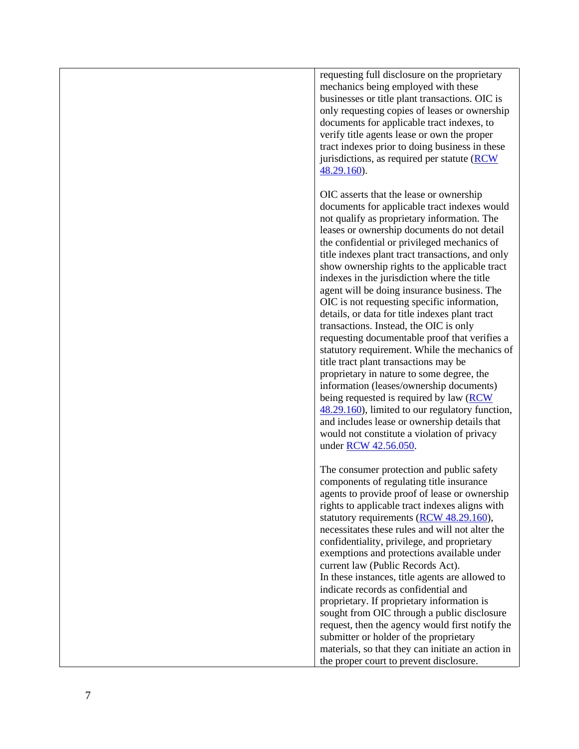requesting full disclosure on the proprietary mechanics being employed with these businesses or title plant transactions. OIC is only requesting copies of leases or ownership documents for applicable tract indexes, to verify title agents lease or own the proper tract indexes prior to doing business in these jurisdictions, as required per statute [\(RCW](https://app.leg.wa.gov/rcw/default.aspx?cite=48.29.160)  [48.29.160\)](https://app.leg.wa.gov/rcw/default.aspx?cite=48.29.160).

 the confidential or privileged mechanics of requesting documentable proof that verifies a OIC asserts that the lease or ownership documents for applicable tract indexes would not qualify as proprietary information. The leases or ownership documents do not detail title indexes plant tract transactions, and only show ownership rights to the applicable tract indexes in the jurisdiction where the title agent will be doing insurance business. The OIC is not requesting specific information, details, or data for title indexes plant tract transactions. Instead, the OIC is only statutory requirement. While the mechanics of title tract plant transactions may be proprietary in nature to some degree, the information (leases/ownership documents) being requested is required by law [\(RCW](https://app.leg.wa.gov/rcw/default.aspx?cite=48.29.160)  [48.29.160\)](https://app.leg.wa.gov/rcw/default.aspx?cite=48.29.160), limited to our regulatory function, and includes lease or ownership details that would not constitute a violation of privacy under [RCW 42.56.050.](https://app.leg.wa.gov/rcw/default.aspx?cite=42.56.050)

 necessitates these rules and will not alter the request, then the agency would first notify the submitter or holder of the proprietary The consumer protection and public safety components of regulating title insurance agents to provide proof of lease or ownership rights to applicable tract indexes aligns with statutory requirements [\(RCW 48.29.160\)](https://app.leg.wa.gov/rcw/default.aspx?cite=48.29.160), confidentiality, privilege, and proprietary exemptions and protections available under current law (Public Records Act). In these instances, title agents are allowed to indicate records as confidential and proprietary. If proprietary information is sought from OIC through a public disclosure materials, so that they can initiate an action in the proper court to prevent disclosure.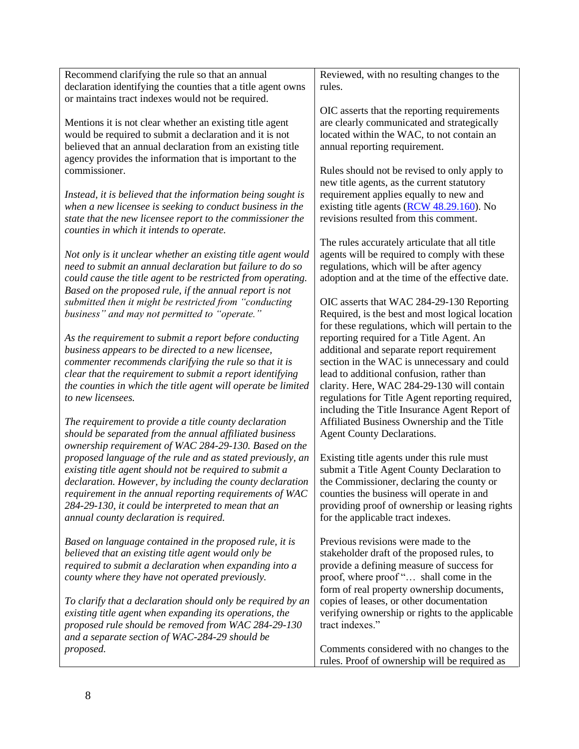| Recommend clarifying the rule so that an annual<br>declaration identifying the counties that a title agent owns                                                                                                                                                                                                                                | Reviewed, with no resulting changes to the<br>rules.                                                                                                                                                                                                                                |
|------------------------------------------------------------------------------------------------------------------------------------------------------------------------------------------------------------------------------------------------------------------------------------------------------------------------------------------------|-------------------------------------------------------------------------------------------------------------------------------------------------------------------------------------------------------------------------------------------------------------------------------------|
| or maintains tract indexes would not be required.                                                                                                                                                                                                                                                                                              |                                                                                                                                                                                                                                                                                     |
| Mentions it is not clear whether an existing title agent<br>would be required to submit a declaration and it is not<br>believed that an annual declaration from an existing title<br>agency provides the information that is important to the                                                                                                  | OIC asserts that the reporting requirements<br>are clearly communicated and strategically<br>located within the WAC, to not contain an<br>annual reporting requirement.                                                                                                             |
| commissioner.                                                                                                                                                                                                                                                                                                                                  | Rules should not be revised to only apply to<br>new title agents, as the current statutory                                                                                                                                                                                          |
| Instead, it is believed that the information being sought is<br>when a new licensee is seeking to conduct business in the<br>state that the new licensee report to the commissioner the<br>counties in which it intends to operate.                                                                                                            | requirement applies equally to new and<br>existing title agents (RCW 48.29.160). No<br>revisions resulted from this comment.                                                                                                                                                        |
| Not only is it unclear whether an existing title agent would<br>need to submit an annual declaration but failure to do so<br>could cause the title agent to be restricted from operating.<br>Based on the proposed rule, if the annual report is not                                                                                           | The rules accurately articulate that all title<br>agents will be required to comply with these<br>regulations, which will be after agency<br>adoption and at the time of the effective date.                                                                                        |
| submitted then it might be restricted from "conducting<br>business" and may not permitted to "operate."                                                                                                                                                                                                                                        | OIC asserts that WAC 284-29-130 Reporting<br>Required, is the best and most logical location<br>for these regulations, which will pertain to the                                                                                                                                    |
| As the requirement to submit a report before conducting<br>business appears to be directed to a new licensee,<br>commenter recommends clarifying the rule so that it is<br>clear that the requirement to submit a report identifying<br>the counties in which the title agent will operate be limited<br>to new licensees.                     | reporting required for a Title Agent. An<br>additional and separate report requirement<br>section in the WAC is unnecessary and could<br>lead to additional confusion, rather than<br>clarity. Here, WAC 284-29-130 will contain<br>regulations for Title Agent reporting required, |
| The requirement to provide a title county declaration<br>should be separated from the annual affiliated business<br>ownership requirement of WAC 284-29-130. Based on the                                                                                                                                                                      | including the Title Insurance Agent Report of<br>Affiliated Business Ownership and the Title<br><b>Agent County Declarations.</b>                                                                                                                                                   |
| proposed language of the rule and as stated previously, an<br>existing title agent should not be required to submit a<br>declaration. However, by including the county declaration<br>requirement in the annual reporting requirements of WAC<br>284-29-130, it could be interpreted to mean that an<br>annual county declaration is required. | Existing title agents under this rule must<br>submit a Title Agent County Declaration to<br>the Commissioner, declaring the county or<br>counties the business will operate in and<br>providing proof of ownership or leasing rights<br>for the applicable tract indexes.           |
| Based on language contained in the proposed rule, it is<br>believed that an existing title agent would only be<br>required to submit a declaration when expanding into a<br>county where they have not operated previously.                                                                                                                    | Previous revisions were made to the<br>stakeholder draft of the proposed rules, to<br>provide a defining measure of success for<br>proof, where proof " shall come in the<br>form of real property ownership documents,                                                             |
| To clarify that a declaration should only be required by an<br>existing title agent when expanding its operations, the<br>proposed rule should be removed from WAC 284-29-130<br>and a separate section of WAC-284-29 should be                                                                                                                | copies of leases, or other documentation<br>verifying ownership or rights to the applicable<br>tract indexes."                                                                                                                                                                      |
| proposed.                                                                                                                                                                                                                                                                                                                                      | Comments considered with no changes to the<br>rules. Proof of ownership will be required as                                                                                                                                                                                         |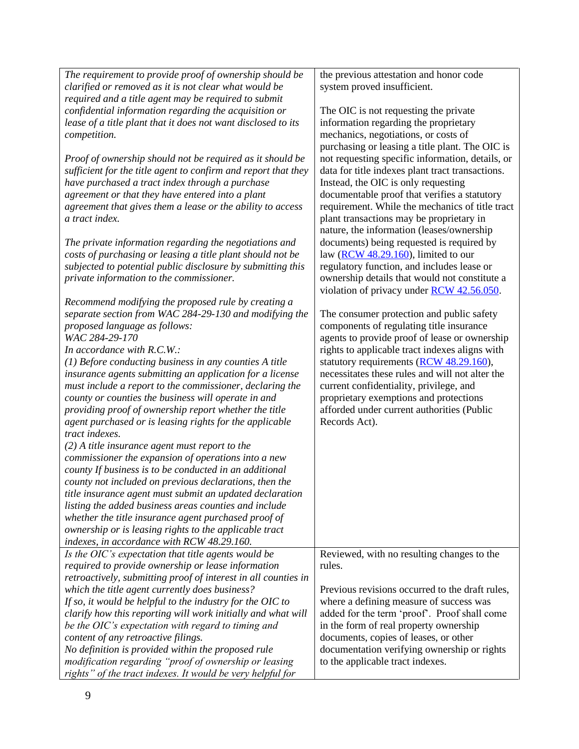| The requirement to provide proof of ownership should be        | the previous attestation and honor code              |  |
|----------------------------------------------------------------|------------------------------------------------------|--|
| clarified or removed as it is not clear what would be          | system proved insufficient.                          |  |
| required and a title agent may be required to submit           |                                                      |  |
| confidential information regarding the acquisition or          | The OIC is not requesting the private                |  |
| lease of a title plant that it does not want disclosed to its  | information regarding the proprietary                |  |
| competition.                                                   | mechanics, negotiations, or costs of                 |  |
|                                                                | purchasing or leasing a title plant. The OIC is      |  |
| Proof of ownership should not be required as it should be      | not requesting specific information, details, or     |  |
| sufficient for the title agent to confirm and report that they | data for title indexes plant tract transactions.     |  |
| have purchased a tract index through a purchase                | Instead, the OIC is only requesting                  |  |
|                                                                | documentable proof that verifies a statutory         |  |
| agreement or that they have entered into a plant               |                                                      |  |
| agreement that gives them a lease or the ability to access     | requirement. While the mechanics of title tract      |  |
| a tract index.                                                 | plant transactions may be proprietary in             |  |
|                                                                | nature, the information (leases/ownership            |  |
| The private information regarding the negotiations and         | documents) being requested is required by            |  |
| costs of purchasing or leasing a title plant should not be     | law $(\underline{RCW}$ 48.29.160), limited to our    |  |
| subjected to potential public disclosure by submitting this    | regulatory function, and includes lease or           |  |
| private information to the commissioner.                       | ownership details that would not constitute a        |  |
|                                                                | violation of privacy under RCW 42.56.050.            |  |
| Recommend modifying the proposed rule by creating a            |                                                      |  |
| separate section from WAC 284-29-130 and modifying the         | The consumer protection and public safety            |  |
| proposed language as follows:                                  | components of regulating title insurance             |  |
| WAC 284-29-170                                                 | agents to provide proof of lease or ownership        |  |
| In accordance with R.C.W.:                                     | rights to applicable tract indexes aligns with       |  |
| $(1)$ Before conducting business in any counties A title       | statutory requirements (RCW 48.29.160),              |  |
| insurance agents submitting an application for a license       | necessitates these rules and will not alter the      |  |
| must include a report to the commissioner, declaring the       | current confidentiality, privilege, and              |  |
| county or counties the business will operate in and            | proprietary exemptions and protections               |  |
| providing proof of ownership report whether the title          | afforded under current authorities (Public           |  |
| agent purchased or is leasing rights for the applicable        | Records Act).                                        |  |
| tract indexes.                                                 |                                                      |  |
| $(2)$ A title insurance agent must report to the               |                                                      |  |
| commissioner the expansion of operations into a new            |                                                      |  |
| county If business is to be conducted in an additional         |                                                      |  |
| county not included on previous declarations, then the         |                                                      |  |
| title insurance agent must submit an updated declaration       |                                                      |  |
| listing the added business areas counties and include          |                                                      |  |
| whether the title insurance agent purchased proof of           |                                                      |  |
| ownership or is leasing rights to the applicable tract         |                                                      |  |
| indexes, in accordance with RCW 48.29.160.                     |                                                      |  |
|                                                                |                                                      |  |
| Is the OIC's expectation that title agents would be            | Reviewed, with no resulting changes to the<br>rules. |  |
| required to provide ownership or lease information             |                                                      |  |
| retroactively, submitting proof of interest in all counties in |                                                      |  |
| which the title agent currently does business?                 | Previous revisions occurred to the draft rules,      |  |
| If so, it would be helpful to the industry for the OIC to      | where a defining measure of success was              |  |
| clarify how this reporting will work initially and what will   | added for the term 'proof'. Proof shall come         |  |
| be the OIC's expectation with regard to timing and             | in the form of real property ownership               |  |
| content of any retroactive filings.                            | documents, copies of leases, or other                |  |
| No definition is provided within the proposed rule             | documentation verifying ownership or rights          |  |
| modification regarding "proof of ownership or leasing          | to the applicable tract indexes.                     |  |
| rights" of the tract indexes. It would be very helpful for     |                                                      |  |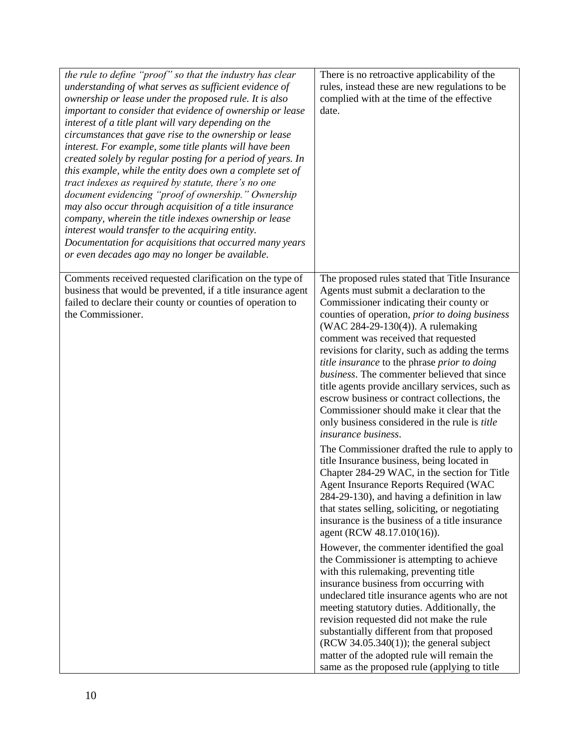| the rule to define "proof" so that the industry has clear<br>understanding of what serves as sufficient evidence of<br>ownership or lease under the proposed rule. It is also<br>important to consider that evidence of ownership or lease<br>interest of a title plant will vary depending on the<br>circumstances that gave rise to the ownership or lease<br>interest. For example, some title plants will have been<br>created solely by regular posting for a period of years. In<br>this example, while the entity does own a complete set of<br>tract indexes as required by statute, there's no one<br>document evidencing "proof of ownership." Ownership<br>may also occur through acquisition of a title insurance<br>company, wherein the title indexes ownership or lease<br>interest would transfer to the acquiring entity.<br>Documentation for acquisitions that occurred many years<br>or even decades ago may no longer be available. | There is no retroactive applicability of the<br>rules, instead these are new regulations to be<br>complied with at the time of the effective<br>date.                                                                                                                                                                                                                                                                                                                                                                                                                                                                                                                                                                                                                                                                                                                                       |
|----------------------------------------------------------------------------------------------------------------------------------------------------------------------------------------------------------------------------------------------------------------------------------------------------------------------------------------------------------------------------------------------------------------------------------------------------------------------------------------------------------------------------------------------------------------------------------------------------------------------------------------------------------------------------------------------------------------------------------------------------------------------------------------------------------------------------------------------------------------------------------------------------------------------------------------------------------|---------------------------------------------------------------------------------------------------------------------------------------------------------------------------------------------------------------------------------------------------------------------------------------------------------------------------------------------------------------------------------------------------------------------------------------------------------------------------------------------------------------------------------------------------------------------------------------------------------------------------------------------------------------------------------------------------------------------------------------------------------------------------------------------------------------------------------------------------------------------------------------------|
| Comments received requested clarification on the type of<br>business that would be prevented, if a title insurance agent<br>failed to declare their county or counties of operation to<br>the Commissioner.                                                                                                                                                                                                                                                                                                                                                                                                                                                                                                                                                                                                                                                                                                                                              | The proposed rules stated that Title Insurance<br>Agents must submit a declaration to the<br>Commissioner indicating their county or<br>counties of operation, prior to doing business<br>(WAC 284-29-130(4)). A rulemaking<br>comment was received that requested<br>revisions for clarity, such as adding the terms<br>title insurance to the phrase prior to doing<br>business. The commenter believed that since<br>title agents provide ancillary services, such as<br>escrow business or contract collections, the<br>Commissioner should make it clear that the<br>only business considered in the rule is <i>title</i><br><i>insurance business.</i>                                                                                                                                                                                                                                |
|                                                                                                                                                                                                                                                                                                                                                                                                                                                                                                                                                                                                                                                                                                                                                                                                                                                                                                                                                          | The Commissioner drafted the rule to apply to<br>title Insurance business, being located in<br>Chapter 284-29 WAC, in the section for Title<br>Agent Insurance Reports Required (WAC<br>284-29-130), and having a definition in law<br>that states selling, soliciting, or negotiating<br>insurance is the business of a title insurance<br>agent (RCW 48.17.010(16)).<br>However, the commenter identified the goal<br>the Commissioner is attempting to achieve<br>with this rulemaking, preventing title<br>insurance business from occurring with<br>undeclared title insurance agents who are not<br>meeting statutory duties. Additionally, the<br>revision requested did not make the rule<br>substantially different from that proposed<br>$(RCW 34.05.340(1))$ ; the general subject<br>matter of the adopted rule will remain the<br>same as the proposed rule (applying to title |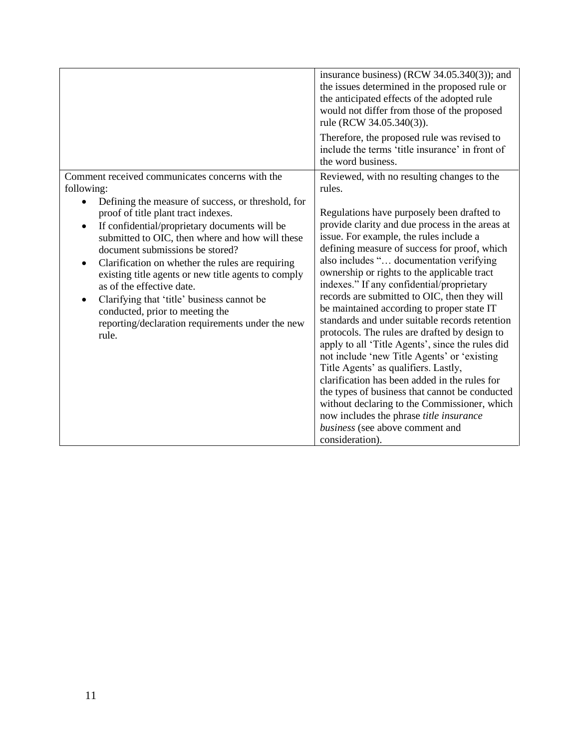|                                                                                                                                                                                                                                                                                                                                                                                                                                                                                                         | insurance business) (RCW 34.05.340(3)); and<br>the issues determined in the proposed rule or<br>the anticipated effects of the adopted rule<br>would not differ from those of the proposed<br>rule (RCW 34.05.340(3)).<br>Therefore, the proposed rule was revised to<br>include the terms 'title insurance' in front of<br>the word business.                                                                                                                                                                                                                                                                                                                                                                                                                                                                                                                                                                                         |
|---------------------------------------------------------------------------------------------------------------------------------------------------------------------------------------------------------------------------------------------------------------------------------------------------------------------------------------------------------------------------------------------------------------------------------------------------------------------------------------------------------|----------------------------------------------------------------------------------------------------------------------------------------------------------------------------------------------------------------------------------------------------------------------------------------------------------------------------------------------------------------------------------------------------------------------------------------------------------------------------------------------------------------------------------------------------------------------------------------------------------------------------------------------------------------------------------------------------------------------------------------------------------------------------------------------------------------------------------------------------------------------------------------------------------------------------------------|
| Comment received communicates concerns with the<br>following:<br>Defining the measure of success, or threshold, for                                                                                                                                                                                                                                                                                                                                                                                     | Reviewed, with no resulting changes to the<br>rules.                                                                                                                                                                                                                                                                                                                                                                                                                                                                                                                                                                                                                                                                                                                                                                                                                                                                                   |
| proof of title plant tract indexes.<br>If confidential/proprietary documents will be<br>$\bullet$<br>submitted to OIC, then where and how will these<br>document submissions be stored?<br>Clarification on whether the rules are requiring<br>$\bullet$<br>existing title agents or new title agents to comply<br>as of the effective date.<br>Clarifying that 'title' business cannot be<br>$\bullet$<br>conducted, prior to meeting the<br>reporting/declaration requirements under the new<br>rule. | Regulations have purposely been drafted to<br>provide clarity and due process in the areas at<br>issue. For example, the rules include a<br>defining measure of success for proof, which<br>also includes " documentation verifying<br>ownership or rights to the applicable tract<br>indexes." If any confidential/proprietary<br>records are submitted to OIC, then they will<br>be maintained according to proper state IT<br>standards and under suitable records retention<br>protocols. The rules are drafted by design to<br>apply to all 'Title Agents', since the rules did<br>not include 'new Title Agents' or 'existing<br>Title Agents' as qualifiers. Lastly,<br>clarification has been added in the rules for<br>the types of business that cannot be conducted<br>without declaring to the Commissioner, which<br>now includes the phrase <i>title insurance</i><br>business (see above comment and<br>consideration). |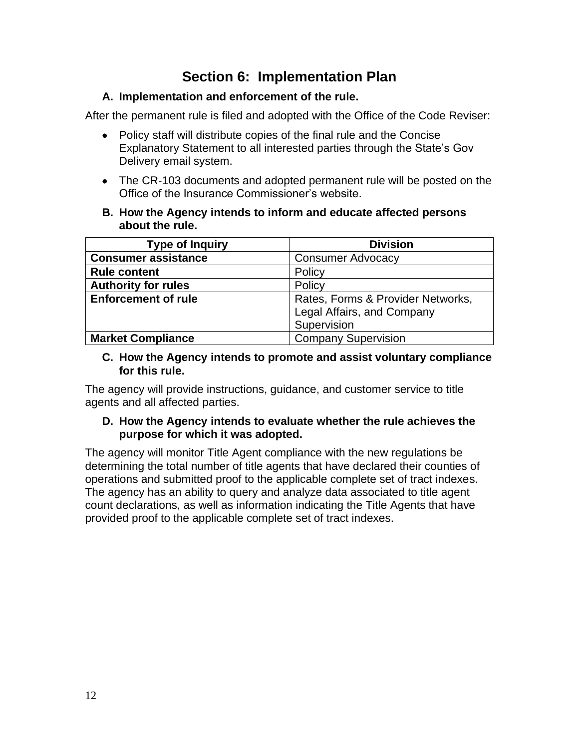# **Section 6: Implementation Plan**

#### **A. Implementation and enforcement of the rule.**

After the permanent rule is filed and adopted with the Office of the Code Reviser:

- Policy staff will distribute copies of the final rule and the Concise Explanatory Statement to all interested parties through the State's Gov Delivery email system.
- • The CR-103 documents and adopted permanent rule will be posted on the Office of the Insurance Commissioner's website.
- **B. How the Agency intends to inform and educate affected persons about the rule.**

| <b>Type of Inquiry</b>     | <b>Division</b>                   |
|----------------------------|-----------------------------------|
| <b>Consumer assistance</b> | <b>Consumer Advocacy</b>          |
| <b>Rule content</b>        | Policy                            |
| <b>Authority for rules</b> | Policy                            |
| <b>Enforcement of rule</b> | Rates, Forms & Provider Networks, |
|                            | Legal Affairs, and Company        |
|                            | Supervision                       |
| <b>Market Compliance</b>   | <b>Company Supervision</b>        |

#### **C. How the Agency intends to promote and assist voluntary compliance for this rule.**

 The agency will provide instructions, guidance, and customer service to title agents and all affected parties.

#### **D. How the Agency intends to evaluate whether the rule achieves the purpose for which it was adopted.**

 count declarations, as well as information indicating the Title Agents that have The agency will monitor Title Agent compliance with the new regulations be determining the total number of title agents that have declared their counties of operations and submitted proof to the applicable complete set of tract indexes. The agency has an ability to query and analyze data associated to title agent provided proof to the applicable complete set of tract indexes.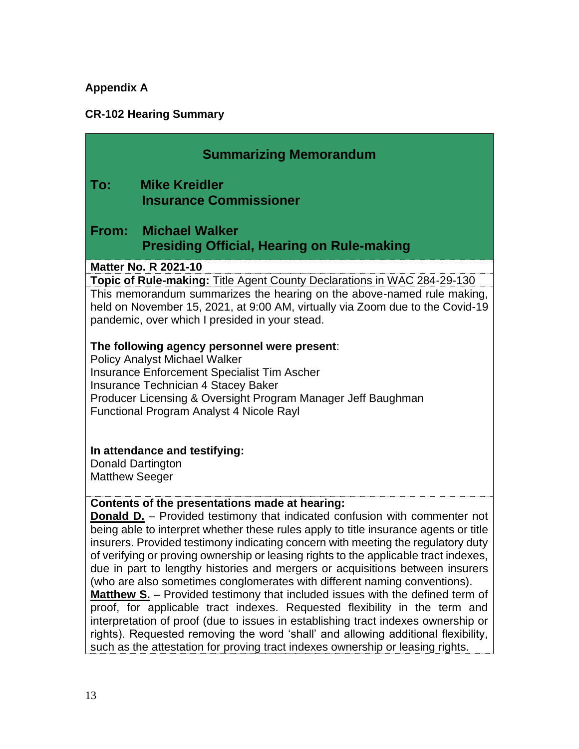# **Appendix A**

### **CR-102 Hearing Summary**

|                       | <b>Summarizing Memorandum</b>                                                                                                                                                                                                                                                                                                                                                                                                                                                                                                                                                                                                                                                                                                                                                                                                                                                                                         |
|-----------------------|-----------------------------------------------------------------------------------------------------------------------------------------------------------------------------------------------------------------------------------------------------------------------------------------------------------------------------------------------------------------------------------------------------------------------------------------------------------------------------------------------------------------------------------------------------------------------------------------------------------------------------------------------------------------------------------------------------------------------------------------------------------------------------------------------------------------------------------------------------------------------------------------------------------------------|
| To:                   | <b>Mike Kreidler</b><br><b>Insurance Commissioner</b>                                                                                                                                                                                                                                                                                                                                                                                                                                                                                                                                                                                                                                                                                                                                                                                                                                                                 |
|                       | From: Michael Walker<br><b>Presiding Official, Hearing on Rule-making</b>                                                                                                                                                                                                                                                                                                                                                                                                                                                                                                                                                                                                                                                                                                                                                                                                                                             |
|                       | <b>Matter No. R 2021-10</b>                                                                                                                                                                                                                                                                                                                                                                                                                                                                                                                                                                                                                                                                                                                                                                                                                                                                                           |
|                       | Topic of Rule-making: Title Agent County Declarations in WAC 284-29-130<br>This memorandum summarizes the hearing on the above-named rule making,<br>held on November 15, 2021, at 9:00 AM, virtually via Zoom due to the Covid-19<br>pandemic, over which I presided in your stead.                                                                                                                                                                                                                                                                                                                                                                                                                                                                                                                                                                                                                                  |
| <b>Matthew Seeger</b> | The following agency personnel were present:<br><b>Policy Analyst Michael Walker</b><br><b>Insurance Enforcement Specialist Tim Ascher</b><br>Insurance Technician 4 Stacey Baker<br>Producer Licensing & Oversight Program Manager Jeff Baughman<br>Functional Program Analyst 4 Nicole Rayl<br>In attendance and testifying:<br><b>Donald Dartington</b>                                                                                                                                                                                                                                                                                                                                                                                                                                                                                                                                                            |
|                       |                                                                                                                                                                                                                                                                                                                                                                                                                                                                                                                                                                                                                                                                                                                                                                                                                                                                                                                       |
|                       | Contents of the presentations made at hearing:<br><b>Donald D.</b> - Provided testimony that indicated confusion with commenter not<br>being able to interpret whether these rules apply to title insurance agents or title<br>insurers. Provided testimony indicating concern with meeting the regulatory duty<br>of verifying or proving ownership or leasing rights to the applicable tract indexes,<br>due in part to lengthy histories and mergers or acquisitions between insurers<br>(who are also sometimes conglomerates with different naming conventions).<br><b>Matthew S.</b> - Provided testimony that included issues with the defined term of<br>proof, for applicable tract indexes. Requested flexibility in the term and<br>interpretation of proof (due to issues in establishing tract indexes ownership or<br>rights). Requested removing the word 'shall' and allowing additional flexibility, |

such as the attestation for proving tract indexes ownership or leasing rights.